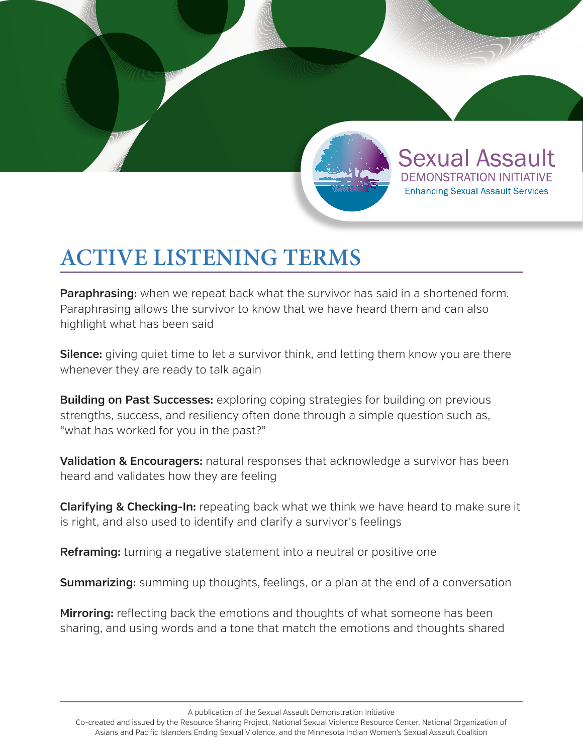

**Sexual Assault** 

DEMONSTRATION INITIATIVE

**Enhancing Sexual Assault Services** 

## **ACTIVE LISTENING TERMS**

**Paraphrasing:** when we repeat back what the survivor has said in a shortened form. Paraphrasing allows the survivor to know that we have heard them and can also highlight what has been said

**Silence:** giving quiet time to let a survivor think, and letting them know you are there whenever they are ready to talk again

**Building on Past Successes:** exploring coping strategies for building on previous strengths, success, and resiliency often done through a simple question such as, "what has worked for you in the past?"

**Validation & Encouragers:** natural responses that acknowledge a survivor has been heard and validates how they are feeling

**Clarifying & Checking-In:** repeating back what we think we have heard to make sure it is right, and also used to identify and clarify a survivor's feelings

**Reframing:** turning a negative statement into a neutral or positive one

**Summarizing:** summing up thoughts, feelings, or a plan at the end of a conversation

**Mirroring:** reflecting back the emotions and thoughts of what someone has been sharing, and using words and a tone that match the emotions and thoughts shared

A publication of the Sexual Assault Demonstration Initiative

Co-created and issued by the Resource Sharing Project, National Sexual Violence Resource Center, National Organization of Asians and Pacific Islanders Ending Sexual Violence, and the Minnesota Indian Women's Sexual Assault Coalition